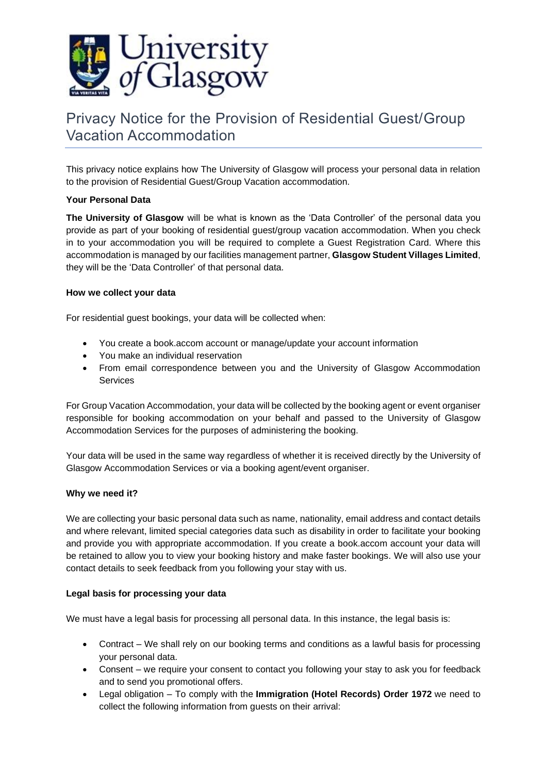

# Privacy Notice for the Provision of Residential Guest/Group Vacation Accommodation

This privacy notice explains how The University of Glasgow will process your personal data in relation to the provision of Residential Guest/Group Vacation accommodation.

## **Your Personal Data**

**The University of Glasgow** will be what is known as the 'Data Controller' of the personal data you provide as part of your booking of residential guest/group vacation accommodation. When you check in to your accommodation you will be required to complete a Guest Registration Card. Where this accommodation is managed by our facilities management partner, **Glasgow Student Villages Limited**, they will be the 'Data Controller' of that personal data.

## **How we collect your data**

For residential guest bookings, your data will be collected when:

- You create a book.accom account or manage/update your account information
- You make an individual reservation
- From email correspondence between you and the University of Glasgow Accommodation Services

For Group Vacation Accommodation, your data will be collected by the booking agent or event organiser responsible for booking accommodation on your behalf and passed to the University of Glasgow Accommodation Services for the purposes of administering the booking.

Your data will be used in the same way regardless of whether it is received directly by the University of Glasgow Accommodation Services or via a booking agent/event organiser.

## **Why we need it?**

We are collecting your basic personal data such as name, nationality, email address and contact details and where relevant, limited special categories data such as disability in order to facilitate your booking and provide you with appropriate accommodation. If you create a book.accom account your data will be retained to allow you to view your booking history and make faster bookings. We will also use your contact details to seek feedback from you following your stay with us.

## **Legal basis for processing your data**

We must have a legal basis for processing all personal data. In this instance, the legal basis is:

- Contract We shall rely on our booking terms and conditions as a lawful basis for processing your personal data.
- Consent we require your consent to contact you following your stay to ask you for feedback and to send you promotional offers.
- Legal obligation To comply with the **Immigration (Hotel Records) Order 1972** we need to collect the following information from guests on their arrival: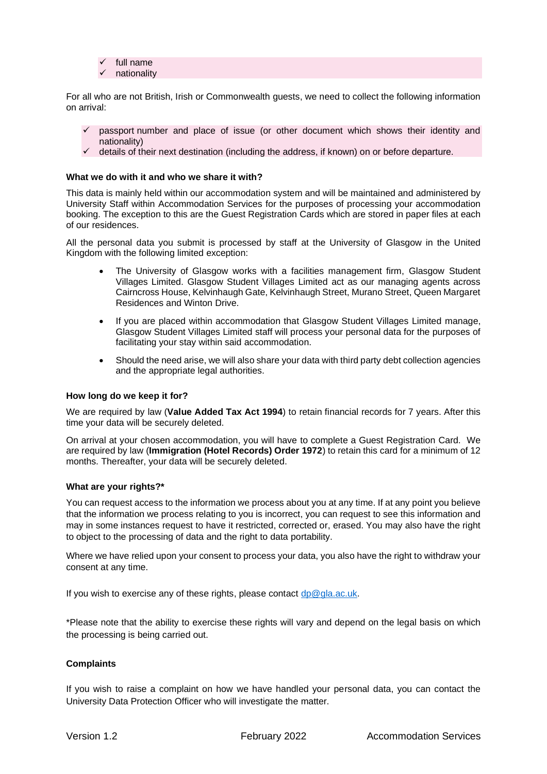full name nationality

For all who are not British, Irish or Commonwealth guests, we need to collect the following information on arrival:

- passport number and place of issue (or other document which shows their identity and nationality)
- $\checkmark$  details of their next destination (including the address, if known) on or before departure.

### **What we do with it and who we share it with?**

This data is mainly held within our accommodation system and will be maintained and administered by University Staff within Accommodation Services for the purposes of processing your accommodation booking. The exception to this are the Guest Registration Cards which are stored in paper files at each of our residences.

All the personal data you submit is processed by staff at the University of Glasgow in the United Kingdom with the following limited exception:

- The University of Glasgow works with a facilities management firm, Glasgow Student Villages Limited. Glasgow Student Villages Limited act as our managing agents across Cairncross House, Kelvinhaugh Gate, Kelvinhaugh Street, Murano Street, Queen Margaret Residences and Winton Drive.
- If you are placed within accommodation that Glasgow Student Villages Limited manage, Glasgow Student Villages Limited staff will process your personal data for the purposes of facilitating your stay within said accommodation.
- Should the need arise, we will also share your data with third party debt collection agencies and the appropriate legal authorities.

#### **How long do we keep it for?**

We are required by law (**Value Added Tax Act 1994**) to retain financial records for 7 years. After this time your data will be securely deleted.

On arrival at your chosen accommodation, you will have to complete a Guest Registration Card. We are required by law (**Immigration (Hotel Records) Order 1972**) to retain this card for a minimum of 12 months. Thereafter, your data will be securely deleted.

#### **What are your rights?\***

You can request access to the information we process about you at any time. If at any point you believe that the information we process relating to you is incorrect, you can request to see this information and may in some instances request to have it restricted, corrected or, erased. You may also have the right to object to the processing of data and the right to data portability.

Where we have relied upon your consent to process your data, you also have the right to withdraw your consent at any time.

If you wish to exercise any of these rights, please contact  $dp@gla.ac.uk$ .

\*Please note that the ability to exercise these rights will vary and depend on the legal basis on which the processing is being carried out.

#### **Complaints**

If you wish to raise a complaint on how we have handled your personal data, you can contact the University Data Protection Officer who will investigate the matter.